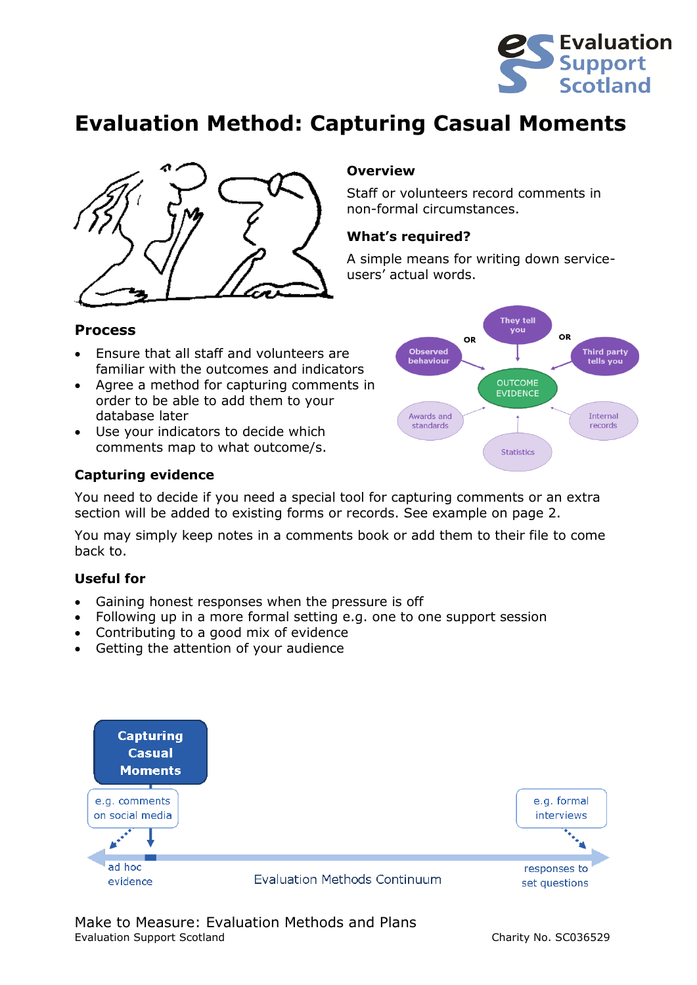

## **Evaluation Method: Capturing Casual Moments**



### **Overview**

Staff or volunteers record comments in non-formal circumstances.

#### **What's required?**

A simple means for writing down serviceusers' actual words.

#### **Process**

- Ensure that all staff and volunteers are familiar with the outcomes and indicators
- Agree a method for capturing comments in order to be able to add them to your database later
- Use your indicators to decide which comments map to what outcome/s.

#### **Capturing evidence**

You need to decide if you need a special tool for capturing comments or an extra section will be added to existing forms or records. See example on page 2.

You may simply keep notes in a comments book or add them to their file to come back to.

#### **Useful for**

- Gaining honest responses when the pressure is off
- Following up in a more formal setting e.g. one to one support session
- Contributing to a good mix of evidence
- Getting the attention of your audience



#### Make to Measure: Evaluation Methods and Plans Evaluation Support Scotland Charity No. SC036529